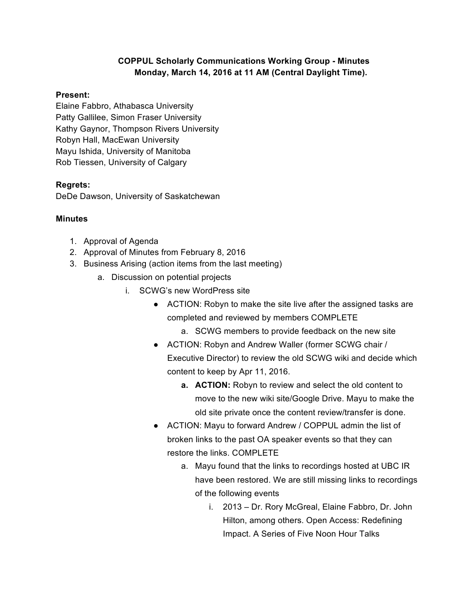## **COPPUL Scholarly Communications Working Group - Minutes Monday, March 14, 2016 at 11 AM (Central Daylight Time).**

#### **Present:**

Elaine Fabbro, Athabasca University Patty Gallilee, Simon Fraser University Kathy Gaynor, Thompson Rivers University Robyn Hall, MacEwan University Mayu Ishida, University of Manitoba Rob Tiessen, University of Calgary

### **Regrets:**

DeDe Dawson, University of Saskatchewan

### **Minutes**

- 1. Approval of Agenda
- 2. Approval of Minutes from February 8, 2016
- 3. Business Arising (action items from the last meeting)
	- a. Discussion on potential projects
		- i. SCWG's new WordPress site
			- ACTION: Robyn to make the site live after the assigned tasks are completed and reviewed by members COMPLETE
				- a. SCWG members to provide feedback on the new site
			- ACTION: Robyn and Andrew Waller (former SCWG chair / Executive Director) to review the old SCWG wiki and decide which content to keep by Apr 11, 2016.
				- **a. ACTION:** Robyn to review and select the old content to move to the new wiki site/Google Drive. Mayu to make the old site private once the content review/transfer is done.
			- ACTION: Mayu to forward Andrew / COPPUL admin the list of broken links to the past OA speaker events so that they can restore the links. COMPLETE
				- a. Mayu found that the links to recordings hosted at UBC IR have been restored. We are still missing links to recordings of the following events
					- i. 2013 Dr. Rory McGreal, Elaine Fabbro, Dr. John Hilton, among others. Open Access: Redefining Impact. A Series of Five Noon Hour Talks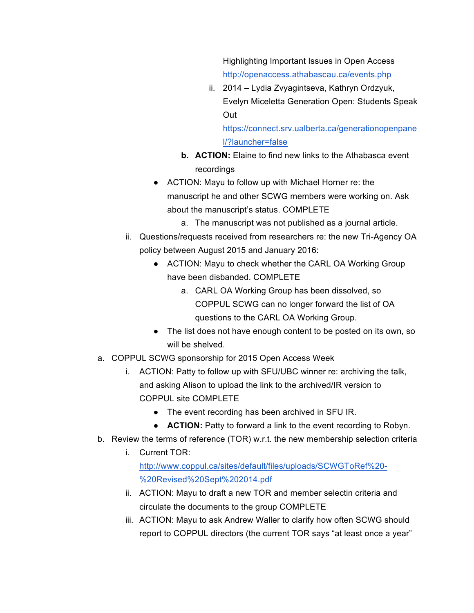Highlighting Important Issues in Open Access http://openaccess.athabascau.ca/events.php

ii. 2014 – Lydia Zvyagintseva, Kathryn Ordzyuk, Evelyn Miceletta Generation Open: Students Speak Out

https://connect.srv.ualberta.ca/generationopenpane l/?launcher=false

- **b. ACTION:** Elaine to find new links to the Athabasca event recordings
- ACTION: Mayu to follow up with Michael Horner re: the manuscript he and other SCWG members were working on. Ask about the manuscript's status. COMPLETE
	- a. The manuscript was not published as a journal article.
- ii. Questions/requests received from researchers re: the new Tri-Agency OA policy between August 2015 and January 2016:
	- ACTION: Mayu to check whether the CARL OA Working Group have been disbanded. COMPLETE
		- a. CARL OA Working Group has been dissolved, so COPPUL SCWG can no longer forward the list of OA questions to the CARL OA Working Group.
	- The list does not have enough content to be posted on its own, so will be shelved.
- a. COPPUL SCWG sponsorship for 2015 Open Access Week
	- i. ACTION: Patty to follow up with SFU/UBC winner re: archiving the talk, and asking Alison to upload the link to the archived/IR version to COPPUL site COMPLETE
		- The event recording has been archived in SFU IR.
		- **ACTION:** Patty to forward a link to the event recording to Robyn.
- b. Review the terms of reference (TOR) w.r.t. the new membership selection criteria
	- i. Current TOR: http://www.coppul.ca/sites/default/files/uploads/SCWGToRef%20- %20Revised%20Sept%202014.pdf
	- ii. ACTION: Mayu to draft a new TOR and member selectin criteria and circulate the documents to the group COMPLETE
	- iii. ACTION: Mayu to ask Andrew Waller to clarify how often SCWG should report to COPPUL directors (the current TOR says "at least once a year"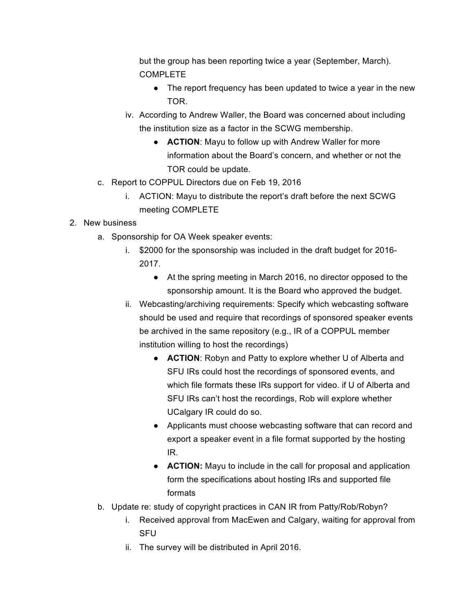but the group has been reporting twice a year (September, March). COMPLETE

- The report frequency has been updated to twice a year in the new TOR.
- iv. According to Andrew Waller, the Board was concerned about including the institution size as a factor in the SCWG membership.
	- **ACTION**: Mayu to follow up with Andrew Waller for more information about the Board's concern, and whether or not the TOR could be update.
- c. Report to COPPUL Directors due on Feb 19, 2016
	- i. ACTION: Mayu to distribute the report's draft before the next SCWG meeting COMPLETE

# 2. New business

- a. Sponsorship for OA Week speaker events:
	- i. \$2000 for the sponsorship was included in the draft budget for 2016- 2017.
		- At the spring meeting in March 2016, no director opposed to the sponsorship amount. It is the Board who approved the budget.
	- ii. Webcasting/archiving requirements: Specify which webcasting software should be used and require that recordings of sponsored speaker events be archived in the same repository (e.g., IR of a COPPUL member institution willing to host the recordings)
		- **ACTION**: Robyn and Patty to explore whether U of Alberta and SFU IRs could host the recordings of sponsored events, and which file formats these IRs support for video. if U of Alberta and SFU IRs can't host the recordings, Rob will explore whether UCalgary IR could do so.
		- Applicants must choose webcasting software that can record and export a speaker event in a file format supported by the hosting IR.
		- **ACTION:** Mayu to include in the call for proposal and application form the specifications about hosting IRs and supported file formats
- b. Update re: study of copyright practices in CAN IR from Patty/Rob/Robyn?
	- i. Received approval from MacEwen and Calgary, waiting for approval from **SFU**
	- ii. The survey will be distributed in April 2016.